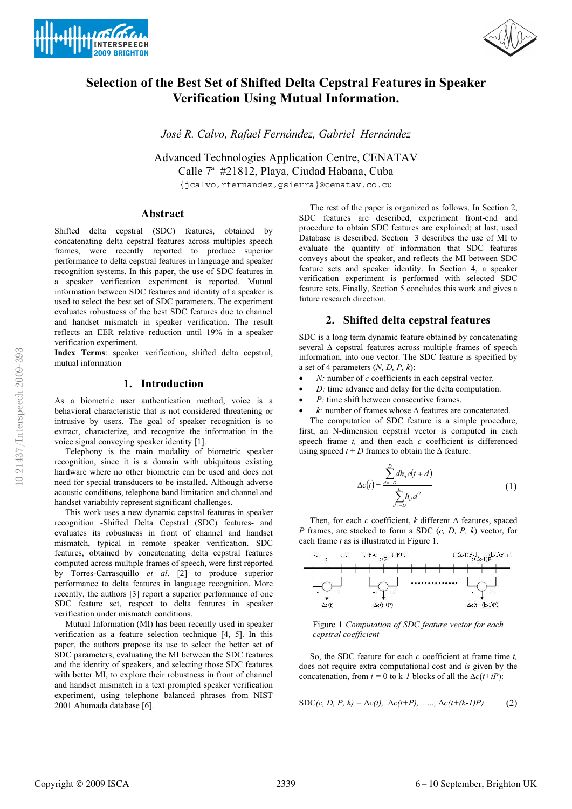



# **Selection of the Best Set of Shifted Delta Cepstral Features in Speaker Verification Using Mutual Information.**

*José R. Calvo, Rafael Fernández, Gabriel Hernández* 

Advanced Technologies Application Centre, CENATAV Calle 7ª #21812, Playa, Ciudad Habana, Cuba {jcalvo,rfernandez,gsierra}@cenatav.co.cu

## **Abstract**

Shifted delta cepstral (SDC) features, obtained by concatenating delta cepstral features across multiples speech frames, were recently reported to produce superior performance to delta cepstral features in language and speaker recognition systems. In this paper, the use of SDC features in a speaker verification experiment is reported. Mutual information between SDC features and identity of a speaker is used to select the best set of SDC parameters. The experiment evaluates robustness of the best SDC features due to channel and handset mismatch in speaker verification. The result reflects an EER relative reduction until 19% in a speaker verification experiment.

**Index Terms**: speaker verification, shifted delta cepstral, mutual information

# **1. Introduction**

As a biometric user authentication method, voice is a behavioral characteristic that is not considered threatening or intrusive by users. The goal of speaker recognition is to extract, characterize, and recognize the information in the voice signal conveying speaker identity [1].

 Telephony is the main modality of biometric speaker recognition, since it is a domain with ubiquitous existing hardware where no other biometric can be used and does not need for special transducers to be installed. Although adverse acoustic conditions, telephone band limitation and channel and handset variability represent significant challenges.

 This work uses a new dynamic cepstral features in speaker recognition -Shifted Delta Cepstral (SDC) features- and evaluates its robustness in front of channel and handset mismatch, typical in remote speaker verification. SDC features, obtained by concatenating delta cepstral features computed across multiple frames of speech, were first reported by Torres-Carrasquillo *et al*. [2] to produce superior performance to delta features in language recognition. More recently, the authors [3] report a superior performance of one SDC feature set, respect to delta features in speaker verification under mismatch conditions.

 Mutual Information (MI) has been recently used in speaker verification as a feature selection technique [4, 5]. In this paper, the authors propose its use to select the better set of SDC parameters, evaluating the MI between the SDC features and the identity of speakers, and selecting those SDC features with better MI, to explore their robustness in front of channel and handset mismatch in a text prompted speaker verification experiment, using telephone balanced phrases from NIST 2001 Ahumada database [6].

 The rest of the paper is organized as follows. In Section 2, SDC features are described, experiment front-end and procedure to obtain SDC features are explained; at last, used Database is described. Section 3 describes the use of MI to evaluate the quantity of information that SDC features conveys about the speaker, and reflects the MI between SDC feature sets and speaker identity. In Section 4, a speaker verification experiment is performed with selected SDC feature sets. Finally, Section 5 concludes this work and gives a future research direction.

# **2. Shifted delta cepstral features**

SDC is a long term dynamic feature obtained by concatenating several  $\Delta$  cepstral features across multiple frames of speech information, into one vector. The SDC feature is specified by a set of 4 parameters (*N, D, P, k*):

- -*N:* number of *c* coefficients in each cepstral vector.
- -*D:* time advance and delay for the delta computation.
- -*P:* time shift between consecutive frames.
- -•  $k:$  number of frames whose  $\Delta$  features are concatenated.

 The computation of SDC feature is a simple procedure, first, an N-dimension cepstral vector is computed in each speech frame *t,* and then each *c* coefficient is differenced using spaced  $t \pm D$  frames to obtain the  $\Delta$  feature:

$$
\Delta c(t) = \frac{\sum_{d=-D}^{D} dh_d c(t+d)}{\sum_{d=-D}^{D} h_d d^2}
$$
 (1)

Then, for each  $c$  coefficient,  $k$  different  $\Delta$  features, spaced *P* frames, are stacked to form a SDC (*c, D, P, k*) vector, for each frame *t* as is illustrated in Figure 1.



Figure 1 *Computation of SDC feature vector for each cepstral coefficient* 

 So, the SDC feature for each *c* coefficient at frame time *t,*  does not require extra computational cost and *is* given by the concatenation, from  $i = 0$  to k-*1* blocks of all the  $\Delta c(t+iP)$ :

$$
SDC(c, D, P, k) = \Delta c(t), \ \Delta c(t+P), \ \ldots, \ \Delta c(t+(k-1)P) \tag{2}
$$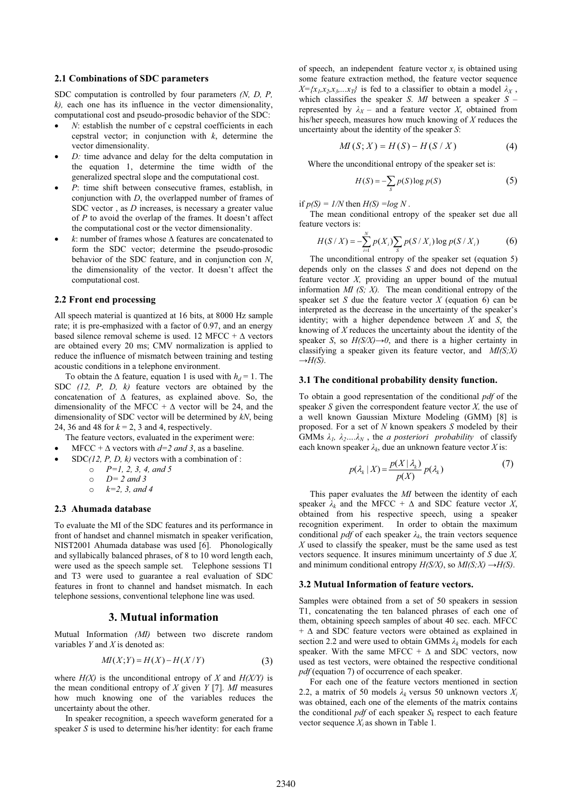## **2.1 Combinations of SDC parameters**

SDC computation is controlled by four parameters *(N, D, P, k),* each one has its influence in the vector dimensionality, computational cost and pseudo-prosodic behavior of the SDC:

- -*N*: establish the number of c cepstral coefficients in each cepstral vector; in conjunction with  $k$ , determine the vector dimensionality.
- - *D:* time advance and delay for the delta computation in the equation 1, determine the time width of the generalized spectral slope and the computational cost.
- - *P*: time shift between consecutive frames, establish, in conjunction with *D*, the overlapped number of frames of SDC vector, as *D* increases, is necessary a greater value of *P* to avoid the overlap of the frames. It doesn't affect the computational cost or the vector dimensionality.
- -•  $k$ : number of frames whose  $\Delta$  features are concatenated to form the SDC vector; determine the pseudo-prosodic behavior of the SDC feature, and in conjunction con *N*, the dimensionality of the vector. It doesn't affect the computational cost.

#### **2.2 Front end processing**

All speech material is quantized at 16 bits, at 8000 Hz sample rate; it is pre-emphasized with a factor of 0.97, and an energy based silence removal scheme is used. 12 MFCC +  $\Delta$  vectors are obtained every 20 ms; CMV normalization is applied to reduce the influence of mismatch between training and testing acoustic conditions in a telephone environment.

To obtain the  $\Delta$  feature, equation 1 is used with  $h_d = 1$ . The SDC *(12, P, D, k)* feature vectors are obtained by the concatenation of  $\Delta$  features, as explained above. So, the dimensionality of the MFCC  $+ \Delta$  vector will be 24, and the dimensionality of SDC vector will be determined by *kN*, being 24, 36 and 48 for *k* = 2, 3 and 4, respectively.

- The feature vectors, evaluated in the experiment were:
- -• MFCC +  $\triangle$  vectors with  $d=2$  *and* 3, as a baseline.
- - SDC*(12, P, D, k)* vectors with a combination of :
	- o *P=1, 2, 3, 4, and 5*
	- o *D= 2 and 3*
	- o *k=2, 3, and 4*

#### **2.3 Ahumada database**

To evaluate the MI of the SDC features and its performance in front of handset and channel mismatch in speaker verification, NIST2001 Ahumada database was used [6]. Phonologically and syllabically balanced phrases, of 8 to 10 word length each, were used as the speech sample set. Telephone sessions T1 and T3 were used to guarantee a real evaluation of SDC features in front to channel and handset mismatch. In each telephone sessions, conventional telephone line was used.

#### **3. Mutual information**

Mutual Information *(MI)* between two discrete random variables *Y* and *X* is denoted as:

$$
MI(X;Y) = H(X) - H(X/Y)
$$
 (3)

where  $H(X)$  is the unconditional entropy of *X* and  $H(X/Y)$  is the mean conditional entropy of *X* given *Y* [7]. *MI* measures how much knowing one of the variables reduces the uncertainty about the other.

 In speaker recognition, a speech waveform generated for a speaker *S* is used to determine his/her identity: for each frame of speech, an independent feature vector  $x_i$  is obtained using some feature extraction method, the feature vector sequence  $X = \{x_1, x_2, x_3, \ldots, x_T\}$  is fed to a classifier to obtain a model  $\lambda_X$ , which classifies the speaker *S*. *MI* between a speaker *S* – represented by  $\lambda_X$  – and a feature vector *X*, obtained from his/her speech, measures how much knowing of *X* reduces the uncertainty about the identity of the speaker *S*:

$$
MI(S; X) = H(S) - H(S / X)
$$
 (4)

Where the unconditional entropy of the speaker set is:

$$
H(S) = -\sum_{S} p(S) \log p(S) \tag{5}
$$

if  $p(S) = 1/N$  then  $H(S) = log N$ .

 The mean conditional entropy of the speaker set due all feature vectors is:

$$
H(S/X) = -\sum_{i=1}^{N} p(X_i) \sum_{S} p(S/X_i) \log p(S/X_i)
$$
 (6)

 The unconditional entropy of the speaker set (equation 5) depends only on the classes *S* and does not depend on the feature vector *X,* providing an upper bound of the mutual information *MI* (*S*; *X*). The mean conditional entropy of the speaker set *S* due the feature vector *X* (equation 6) can be interpreted as the decrease in the uncertainty of the speaker's identity; with a higher dependence between *X* and *S*, the knowing of *X* reduces the uncertainty about the identity of the speaker *S*, so  $H(S/X) \rightarrow 0$ , and there is a higher certainty in classifying a speaker given its feature vector, and *MI(S;X)*   $\rightarrow$ *H(S)*.

#### **3.1 The conditional probability density function.**

To obtain a good representation of the conditional *pdf* of the speaker *S* given the correspondent feature vector *X,* the use of a well known Gaussian Mixture Modeling (GMM) [8] is proposed. For a set of *N* known speakers *S* modeled by their GMMs  $\lambda_1$ ,  $\lambda_2$ .... $\lambda_N$ , the *a posteriori probability* of classify each known speaker  $\lambda_k$ , due an unknown feature vector *X* is:

$$
p(\lambda_k | X) = \frac{p(X | \lambda_k)}{p(X)} p(\lambda_k)
$$
 (7)

 This paper evaluates the *MI* between the identity of each speaker  $\lambda_k$  and the MFCC +  $\Delta$  and SDC feature vector *X*, obtained from his respective speech, using a speaker recognition experiment. In order to obtain the maximum conditional *pdf* of each speaker  $\lambda_k$ , the train vectors sequence *X* used to classify the speaker, must be the same used as test vectors sequence. It insures minimum uncertainty of *S* due *X,* and minimum conditional entropy  $H(S/X)$ , so  $MI(S;X) \rightarrow H(S)$ .

#### **3.2 Mutual Information of feature vectors.**

Samples were obtained from a set of 50 speakers in session T1, concatenating the ten balanced phrases of each one of them, obtaining speech samples of about 40 sec. each. MFCC  $+ \Delta$  and SDC feature vectors were obtained as explained in section 2.2 and were used to obtain GMMs  $\lambda_k$  models for each speaker. With the same MFCC +  $\Delta$  and SDC vectors, now used as test vectors, were obtained the respective conditional *pdf* (equation 7) of occurrence of each speaker.

 For each one of the feature vectors mentioned in section 2.2, a matrix of 50 models  $\lambda_k$  versus 50 unknown vectors  $X_i$ was obtained, each one of the elements of the matrix contains the conditional  $pdf$  of each speaker  $S_k$  respect to each feature vector sequence *Xi* as shown in Table 1*.*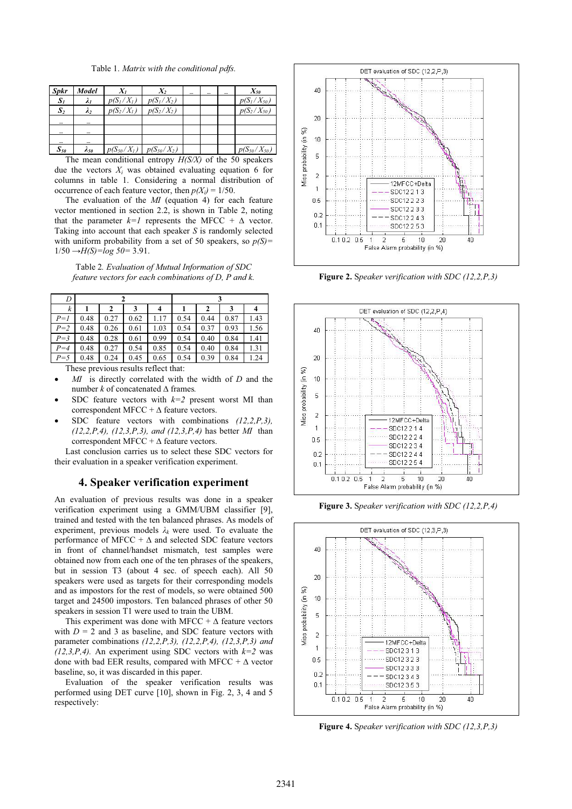| <b>Spkr</b>    | Model          | $X_I$        | χ,                              | $\cdots$ | $\cdots$ | $\cdots$ | $X_{50}$           |
|----------------|----------------|--------------|---------------------------------|----------|----------|----------|--------------------|
| $S_I$          | $\lambda_I$    | $p(S_I/X_I)$ | $p(S_1/X_2)$                    |          |          |          | $p(S_1/X_{50})$    |
| S <sub>2</sub> | $\lambda$      | $p(S_2/X_1)$ | $p(S_2/X_2)$                    |          |          |          | $p(S_2/X_{50})$    |
|                | $\cdots$       |              |                                 |          |          |          |                    |
| $\cdots$       |                |              |                                 |          |          |          |                    |
|                | $\cdots$       |              |                                 |          |          |          |                    |
| $S_{50}$       | $\lambda_{50}$ |              | $p(S_{50}/X_1)$ $p(S_{50}/X_2)$ |          |          |          | $p(S_{50}/X_{50})$ |

 The mean conditional entropy *H(S/X)* of the 50 speakers due the vectors  $X_i$  was obtained evaluating equation 6 for columns in table 1. Considering a normal distribution of occurrence of each feature vector, then  $p(X_i) = 1/50$ .

 The evaluation of the *MI* (equation 4) for each feature vector mentioned in section 2.2, is shown in Table 2, noting that the parameter  $k=1$  represents the MFCC +  $\Delta$  vector. Taking into account that each speaker *S* is randomly selected with uniform probability from a set of 50 speakers, so  $p(S)$ =  $1/50 \rightarrow H(S) = log 50 = 3.91$ .

Table 2*. Evaluation of Mutual Information of SDC feature vectors for each combinations of D, P and k.* 

| D       |      |      |      |      |      |      |      |      |
|---------|------|------|------|------|------|------|------|------|
| k       |      | 2    |      | 4    |      | 2    | 3    |      |
| $P=1$   | 0.48 | 0.27 | 0.62 | 1.17 | 0.54 | 0.44 | 0.87 | 1.43 |
| $P=2$   | 0.48 | 0.26 | 0.61 | 1.03 | 0.54 | 0.37 | 0.93 | 1.56 |
| $P = 3$ | 0.48 | 0.28 | 0.61 | 0.99 | 0.54 | 0.40 | 0.84 | 1.41 |
| $P=4$   | 0.48 | 0.27 | 0.54 | 0.85 | 0.54 | 0.40 | 0.84 | 1.31 |
| $P = 5$ | 0.48 | 0.24 | 0.45 | 0.65 | 0.54 | 0.39 | 0.84 | 1.24 |

These previous results reflect that:

- - *MI* is directly correlated with the width of *D* and the number  $k$  of concatenated  $\Delta$  frames.
- - SDC feature vectors with *k=2* present worst MI than correspondent MFCC +  $\Delta$  feature vectors.
- - SDC feature vectors with combinations *(12,2,P,3), (12,2,P,4), (12,3,P,3), and (12,3,P,4)* has better *MI* than correspondent MFCC +  $\Delta$  feature vectors.

 Last conclusion carries us to select these SDC vectors for their evaluation in a speaker verification experiment.

# **4. Speaker verification experiment**

An evaluation of previous results was done in a speaker verification experiment using a GMM/UBM classifier [9], trained and tested with the ten balanced phrases. As models of experiment, previous models  $\lambda_k$  were used. To evaluate the performance of MFCC  $+ \Delta$  and selected SDC feature vectors in front of channel/handset mismatch, test samples were obtained now from each one of the ten phrases of the speakers, but in session T3 (about 4 sec. of speech each). All 50 speakers were used as targets for their corresponding models and as impostors for the rest of models, so were obtained 500 target and 24500 impostors. Ten balanced phrases of other 50 speakers in session T1 were used to train the UBM.

This experiment was done with MFCC +  $\Delta$  feature vectors with  $D = 2$  and 3 as baseline, and SDC feature vectors with parameter combinations *(12,2,P,3), (12,2,P,4), (12,3,P,3) and (12,3,P,4).* An experiment using SDC vectors with  $k=2$  was done with bad EER results, compared with MFCC  $+ \Delta$  vector baseline, so, it was discarded in this paper.

 Evaluation of the speaker verification results was performed using DET curve [10], shown in Fig. 2, 3, 4 and 5 respectively:



**Figure 2.** S*peaker verification with SDC (12,2,P,3)*



**Figure 3.** S*peaker verification with SDC (12,2,P,4)*



**Figure 4.** S*peaker verification with SDC (12,3,P,3)*